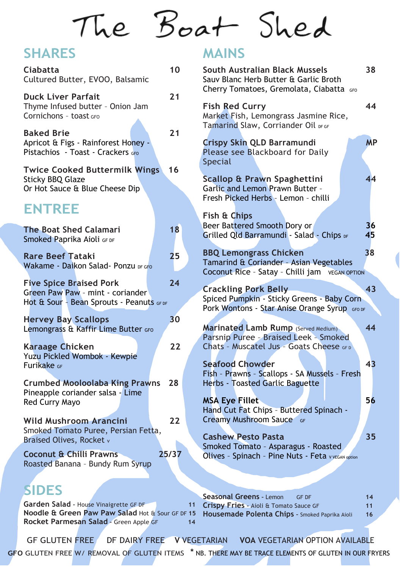# The Boat Shed

#### **SHARES**

| <b>Ciabatta</b><br>Cultured Butter, EVOO, Balsamic                                                              | 10    |
|-----------------------------------------------------------------------------------------------------------------|-------|
| <b>Duck Liver Parfait</b><br>Thyme Infused butter - Onion Jam<br>Cornichons - toast GFO                         | 21    |
| <b>Baked Brie</b><br>Apricot & Figs - Rainforest Honey -<br>Pistachios - Toast - Crackers GFO                   | 21    |
| <b>Twice Cooked Buttermilk Wings</b><br><b>Sticky BBQ Glaze</b><br>Or Hot Sauce & Blue Cheese Dip               | 16    |
| <b>ENTREE</b>                                                                                                   |       |
| <b>The Boat Shed Calamari</b><br>Smoked Paprika Aioli GF DF                                                     | 18    |
| <b>Rare Beef Tataki</b><br>Wakame - Daikon Salad- Ponzu DF GFO                                                  | 25    |
| <b>Five Spice Braised Pork</b><br>Green Paw Paw - mint - coriander<br>Hot & Sour - Bean Sprouts - Peanuts GF DF | 24    |
| <b>Hervey Bay Scallops</b><br>Lemongrass & Kaffir Lime Butter GFO                                               | 30    |
| <b>Karaage Chicken</b><br>Yuzu Pickled Wombok - Kewpie<br>Furikake GF                                           | 22    |
| <b>Crumbed Mooloolaba King Prawns</b><br>Pineapple coriander salsa - Lime<br><b>Red Curry Mayo</b>              | 28    |
| <b>Wild Mushroom Arancini</b><br>Smoked Tomato Puree, Persian Fetta,<br><b>Braised Olives, Rocket v</b>         | 22    |
| <b>Coconut &amp; Chilli Prawns</b><br>Roasted Banana - Bundy Rum Syrup                                          | 25/37 |
|                                                                                                                 |       |

GF GLUTEN FREE DF DAIRY FREE **V** VEGETARIAN **VOA** VEGETARIAN OPTION AVAILABLE **GFO** GLUTEN FREE W/ REMOVAL OF GLUTEN ITEMS \* NB. THERE MAY BE TRACE ELEMENTS OF GLUTEN IN OUR FRYERS

**MAINS**

| South Australian Black Mussels<br>Sauv Blanc Herb Butter & Garlic Broth<br>Cherry Tomatoes, Gremolata, Ciabatta GFO            |           |  |  |  |
|--------------------------------------------------------------------------------------------------------------------------------|-----------|--|--|--|
| <b>Fish Red Curry</b><br>Market Fish, Lemongrass Jasmine Rice,<br>Tamarind Slaw, Corriander Oil DF GF                          | 44        |  |  |  |
| Crispy Skin QLD Barramundi<br>Please see Blackboard for Daily<br><b>Special</b>                                                | <b>MP</b> |  |  |  |
| Scallop & Prawn Spaghettini<br><b>Garlic and Lemon Prawn Butter -</b><br>Fresh Picked Herbs - Lemon - chilli                   | 44        |  |  |  |
| Fish & Chips<br>Beer Battered Smooth Dory or<br>Grilled Qld Barramundi - Salad - Chips DF                                      | 36<br>45  |  |  |  |
| <b>BBQ Lemongrass Chicken</b><br>Tamarind & Coriander - Asian Vegetables<br>Coconut Rice - Satay - Chilli jam VEGAN OPTION     | 38        |  |  |  |
| <b>Crackling Pork Belly</b><br>Spiced Pumpkin - Sticky Greens - Baby Corn<br>Pork Wontons - Star Anise Orange Syrup GFO DF     | 43        |  |  |  |
| <b>Marinated Lamb Rump (Served Medium)</b><br>Parsnip Puree - Braised Leek - Smoked<br>Chats - Muscatel Jus - Goats Cheese GFD | 44        |  |  |  |
| <b>Seafood Chowder</b><br>Fish - Prawns - Scallops - SA Mussels - Fresh<br>Herbs - Toasted Garlic Baguette                     | 43        |  |  |  |
| <b>MSA Eye Fillet</b><br>Hand Cut Fat Chips - Buttered Spinach -<br><b>Creamy Mushroom Sauce</b> GF                            | 56        |  |  |  |
| <b>Cashew Pesto Pasta</b><br>Smoked Tomato - Asparagus - Roasted<br>Olives - Spinach - Pine Nuts - Feta v VEGAN option         | 35        |  |  |  |
|                                                                                                                                |           |  |  |  |

**SIDES**

**Garden Salad –** House Vinaigrette GF DF **11 Noodle & Green Paw Paw Salad** Hot & Sour GF DF **15 Rocket Parmesan Salad –** Green Apple GF **14**

**Seasonal Greens –** Lemon GF DF **14 Crispy Fries –** Aioli & Tomato Sauce GF **11 Housemade Polenta Chips –** Smoked Paprika Aioli **16**